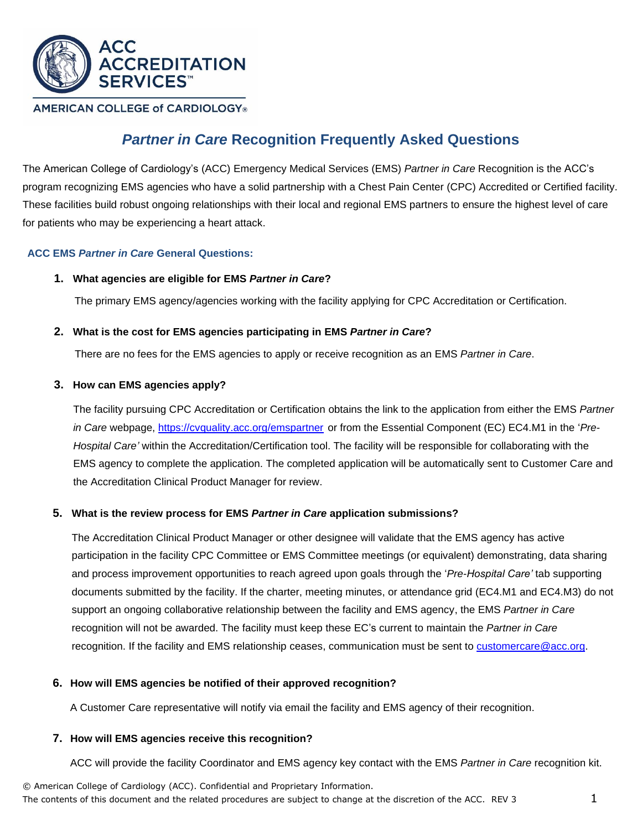

# **AMERICAN COLLEGE of CARDIOLOGY®**

# *Partner in Care* **Recognition Frequently Asked Questions**

The American College of Cardiology's (ACC) Emergency Medical Services (EMS) *Partner in Care* Recognition is the ACC's program recognizing EMS agencies who have a solid partnership with a Chest Pain Center (CPC) Accredited or Certified facility. These facilities build robust ongoing relationships with their local and regional EMS partners to ensure the highest level of care for patients who may be experiencing a heart attack.

# **ACC EMS** *Partner in Care* **General Questions:**

## **1. What agencies are eligible for EMS** *Partner in Care***?**

The primary EMS agency/agencies working with the facility applying for CPC Accreditation or Certification.

## **2. What is the cost for EMS agencies participating in EMS** *Partner in Care***?**

There are no fees for the EMS agencies to apply or receive recognition as an EMS *Partner in Care*.

## **3. How can EMS agencies apply?**

The facility pursuing CPC Accreditation or Certification obtains the link to the application from either the EMS *Partner in Care* webpage, <https://cvquality.acc.org/emspartner> or from the Essential Component (EC) EC4.M1 in the '*Pre-Hospital Care'* within the Accreditation/Certification tool. The facility will be responsible for collaborating with the EMS agency to complete the application. The completed application will be automatically sent to Customer Care and the Accreditation Clinical Product Manager for review.

# **5. What is the review process for EMS** *Partner in Care* **application submissions?**

The Accreditation Clinical Product Manager or other designee will validate that the EMS agency has active participation in the facility CPC Committee or EMS Committee meetings (or equivalent) demonstrating, data sharing and process improvement opportunities to reach agreed upon goals through the '*Pre-Hospital Care'* tab supporting documents submitted by the facility. If the charter, meeting minutes, or attendance grid (EC4.M1 and EC4.M3) do not support an ongoing collaborative relationship between the facility and EMS agency, the EMS *Partner in Care* recognition will not be awarded. The facility must keep these EC's current to maintain the *Partner in Care* recognition. If the facility and EMS relationship ceases, communication must be sent to [customercare@acc.org.](mailto:customercare@acc.org)

#### **6. How will EMS agencies be notified of their approved recognition?**

A Customer Care representative will notify via email the facility and EMS agency of their recognition.

#### **7. How will EMS agencies receive this recognition?**

ACC will provide the facility Coordinator and EMS agency key contact with the EMS *Partner in Care* recognition kit.